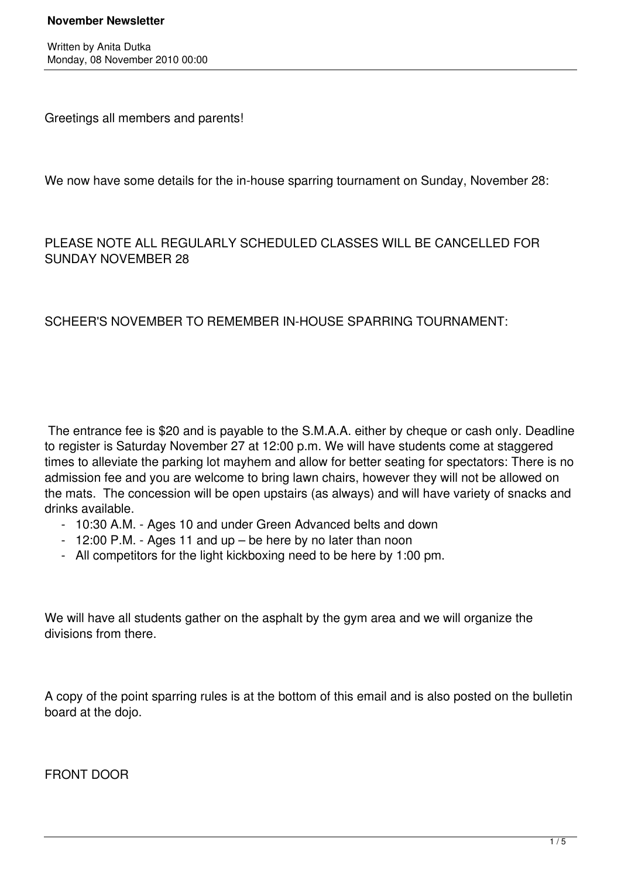#### **November Newsletter**

Written by Anita Dutka Monday, 08 November 2010 00:00

Greetings all members and parents!

We now have some details for the in-house sparring tournament on Sunday, November 28:

# PLEASE NOTE ALL REGULARLY SCHEDULED CLASSES WILL BE CANCELLED FOR SUNDAY NOVEMBER 28

## SCHEER'S NOVEMBER TO REMEMBER IN-HOUSE SPARRING TOURNAMENT:

 The entrance fee is \$20 and is payable to the S.M.A.A. either by cheque or cash only. Deadline to register is Saturday November 27 at 12:00 p.m. We will have students come at staggered times to alleviate the parking lot mayhem and allow for better seating for spectators: There is no admission fee and you are welcome to bring lawn chairs, however they will not be allowed on the mats. The concession will be open upstairs (as always) and will have variety of snacks and drinks available.

- 10:30 A.M. Ages 10 and under Green Advanced belts and down
- 12:00 P.M. Ages 11 and up be here by no later than noon
- All competitors for the light kickboxing need to be here by 1:00 pm.

We will have all students gather on the asphalt by the gym area and we will organize the divisions from there.

A copy of the point sparring rules is at the bottom of this email and is also posted on the bulletin board at the dojo.

FRONT DOOR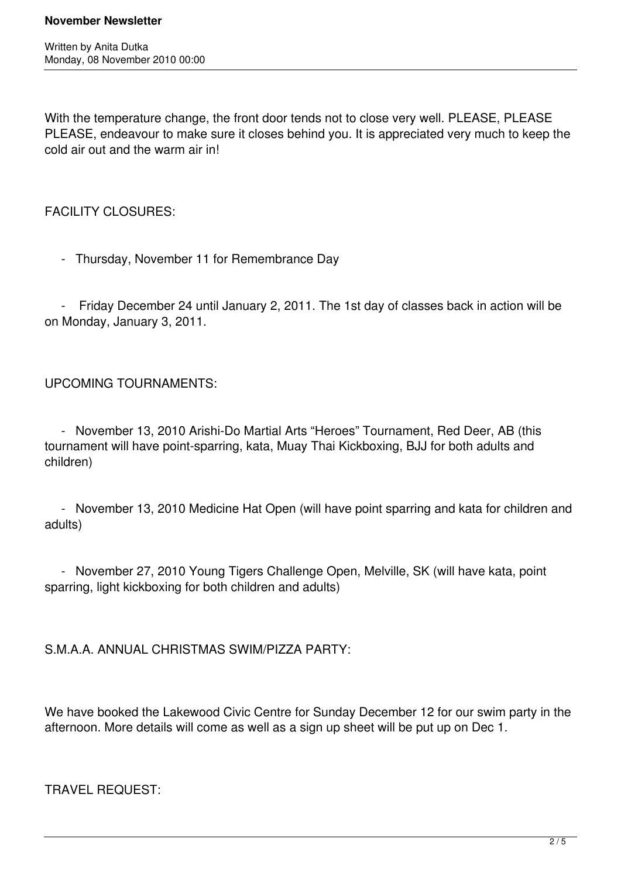Written by Anita Dutka Monday, 08 November 2010 00:00

With the temperature change, the front door tends not to close very well. PLEASE, PLEASE PLEASE, endeavour to make sure it closes behind you. It is appreciated very much to keep the cold air out and the warm air in!

FACILITY CLOSURES:

- Thursday, November 11 for Remembrance Day

 - Friday December 24 until January 2, 2011. The 1st day of classes back in action will be on Monday, January 3, 2011.

UPCOMING TOURNAMENTS:

 - November 13, 2010 Arishi-Do Martial Arts "Heroes" Tournament, Red Deer, AB (this tournament will have point-sparring, kata, Muay Thai Kickboxing, BJJ for both adults and children)

 - November 13, 2010 Medicine Hat Open (will have point sparring and kata for children and adults)

 - November 27, 2010 Young Tigers Challenge Open, Melville, SK (will have kata, point sparring, light kickboxing for both children and adults)

S.M.A.A. ANNUAL CHRISTMAS SWIM/PIZZA PARTY:

We have booked the Lakewood Civic Centre for Sunday December 12 for our swim party in the afternoon. More details will come as well as a sign up sheet will be put up on Dec 1.

TRAVEL REQUEST: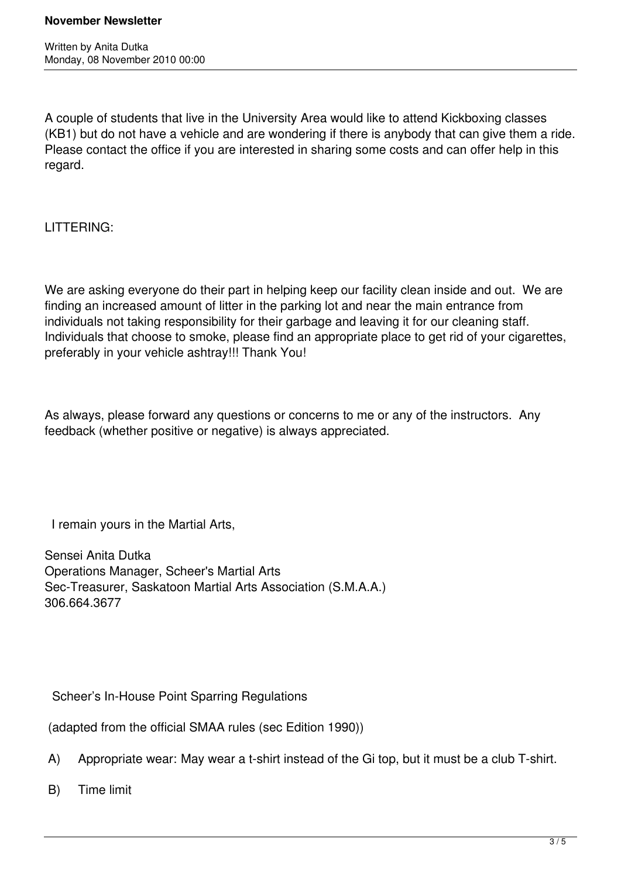A couple of students that live in the University Area would like to attend Kickboxing classes (KB1) but do not have a vehicle and are wondering if there is anybody that can give them a ride. Please contact the office if you are interested in sharing some costs and can offer help in this regard.

LITTERING:

We are asking everyone do their part in helping keep our facility clean inside and out. We are finding an increased amount of litter in the parking lot and near the main entrance from individuals not taking responsibility for their garbage and leaving it for our cleaning staff. Individuals that choose to smoke, please find an appropriate place to get rid of your cigarettes, preferably in your vehicle ashtray!!! Thank You!

As always, please forward any questions or concerns to me or any of the instructors. Any feedback (whether positive or negative) is always appreciated.

I remain yours in the Martial Arts,

Sensei Anita Dutka Operations Manager, Scheer's Martial Arts Sec-Treasurer, Saskatoon Martial Arts Association (S.M.A.A.) 306.664.3677

Scheer's In-House Point Sparring Regulations

(adapted from the official SMAA rules (sec Edition 1990))

- A) Appropriate wear: May wear a t-shirt instead of the Gi top, but it must be a club T-shirt.
- B) Time limit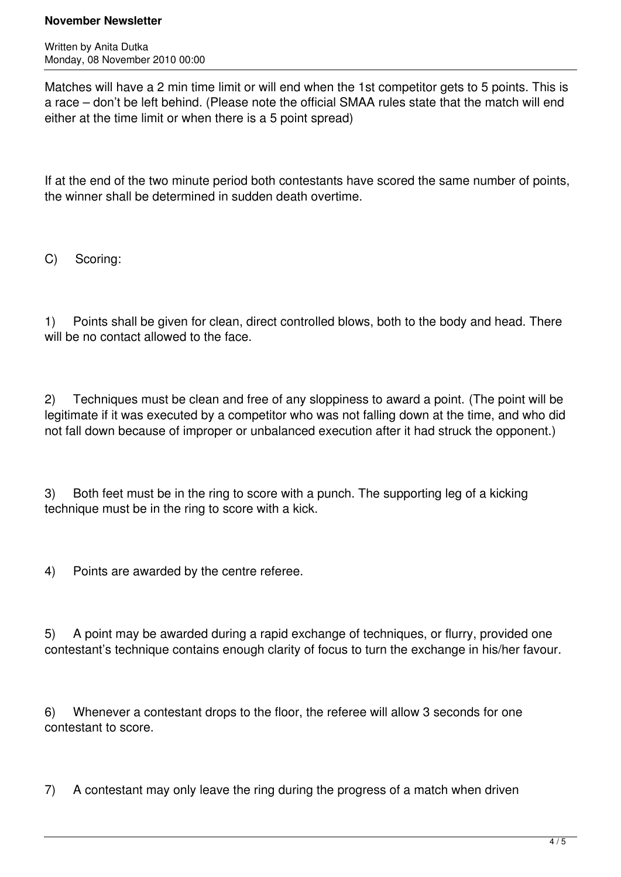### **November Newsletter**

Written by Anita Dutka Monday, 08 November 2010 00:00

Matches will have a 2 min time limit or will end when the 1st competitor gets to 5 points. This is a race – don't be left behind. (Please note the official SMAA rules state that the match will end either at the time limit or when there is a 5 point spread)

If at the end of the two minute period both contestants have scored the same number of points, the winner shall be determined in sudden death overtime.

C) Scoring:

1) Points shall be given for clean, direct controlled blows, both to the body and head. There will be no contact allowed to the face.

2) Techniques must be clean and free of any sloppiness to award a point. (The point will be legitimate if it was executed by a competitor who was not falling down at the time, and who did not fall down because of improper or unbalanced execution after it had struck the opponent.)

3) Both feet must be in the ring to score with a punch. The supporting leg of a kicking technique must be in the ring to score with a kick.

4) Points are awarded by the centre referee.

5) A point may be awarded during a rapid exchange of techniques, or flurry, provided one contestant's technique contains enough clarity of focus to turn the exchange in his/her favour.

6) Whenever a contestant drops to the floor, the referee will allow 3 seconds for one contestant to score.

7) A contestant may only leave the ring during the progress of a match when driven